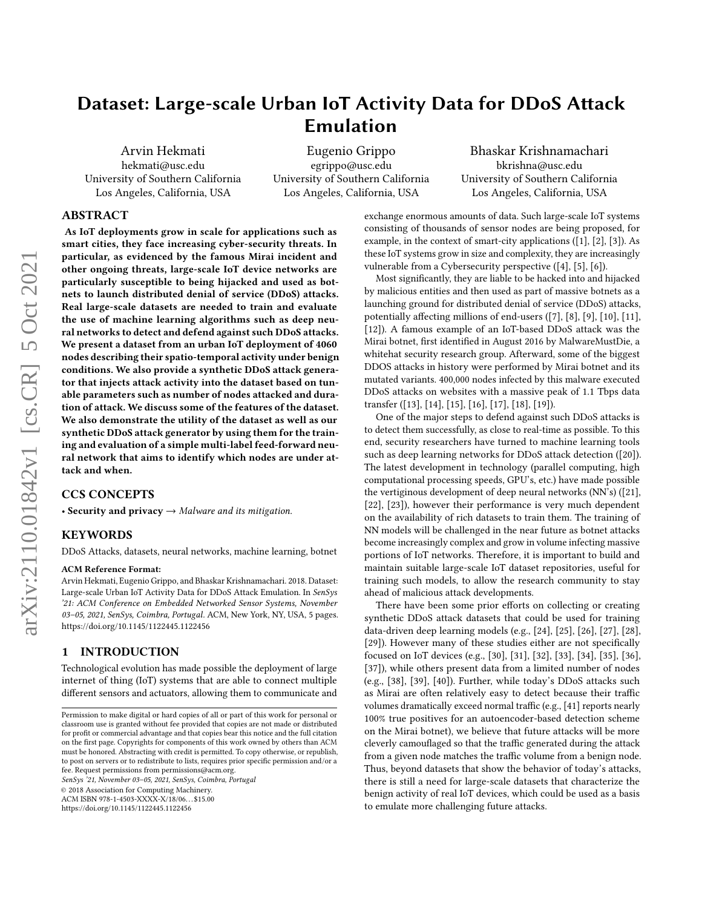# Dataset: Large-scale Urban IoT Activity Data for DDoS Attack Emulation

Arvin Hekmati hekmati@usc.edu University of Southern California Los Angeles, California, USA

Eugenio Grippo egrippo@usc.edu University of Southern California Los Angeles, California, USA

Bhaskar Krishnamachari bkrishna@usc.edu University of Southern California Los Angeles, California, USA

### ABSTRACT

As IoT deployments grow in scale for applications such as smart cities, they face increasing cyber-security threats. In particular, as evidenced by the famous Mirai incident and other ongoing threats, large-scale IoT device networks are particularly susceptible to being hijacked and used as botnets to launch distributed denial of service (DDoS) attacks. Real large-scale datasets are needed to train and evaluate the use of machine learning algorithms such as deep neural networks to detect and defend against such DDoS attacks. We present a dataset from an urban IoT deployment of 4060 nodes describing their spatio-temporal activity under benign conditions. We also provide a synthetic DDoS attack generator that injects attack activity into the dataset based on tunable parameters such as number of nodes attacked and duration of attack. We discuss some of the features of the dataset. We also demonstrate the utility of the dataset as well as our synthetic DDoS attack generator by using them for the training and evaluation of a simple multi-label feed-forward neural network that aims to identify which nodes are under attack and when.

### CCS CONCEPTS

• Security and privacy  $\rightarrow$  Malware and its mitigation.

#### KEYWORDS

DDoS Attacks, datasets, neural networks, machine learning, botnet

#### ACM Reference Format:

Arvin Hekmati, Eugenio Grippo, and Bhaskar Krishnamachari. 2018. Dataset: Large-scale Urban IoT Activity Data for DDoS Attack Emulation. In SenSys '21: ACM Conference on Embedded Networked Sensor Systems, November 03–05, 2021, SenSys, Coimbra, Portugal. ACM, New York, NY, USA, [5](#page-4-0) pages. <https://doi.org/10.1145/1122445.1122456>

### 1 INTRODUCTION

Technological evolution has made possible the deployment of large internet of thing (IoT) systems that are able to connect multiple different sensors and actuators, allowing them to communicate and

SenSys '21, November 03–05, 2021, SenSys, Coimbra, Portugal

© 2018 Association for Computing Machinery.

ACM ISBN 978-1-4503-XXXX-X/18/06. . . \$15.00

<https://doi.org/10.1145/1122445.1122456>

exchange enormous amounts of data. Such large-scale IoT systems consisting of thousands of sensor nodes are being proposed, for example, in the context of smart-city applications ([\[1\]](#page-3-0), [\[2\]](#page-3-1), [\[3\]](#page-3-2)). As these IoT systems grow in size and complexity, they are increasingly vulnerable from a Cybersecurity perspective ([\[4\]](#page-4-1), [\[5\]](#page-4-2), [\[6\]](#page-4-3)).

Most significantly, they are liable to be hacked into and hijacked by malicious entities and then used as part of massive botnets as a launching ground for distributed denial of service (DDoS) attacks, potentially affecting millions of end-users ([\[7\]](#page-4-4), [\[8\]](#page-4-5), [\[9\]](#page-4-6), [\[10\]](#page-4-7), [\[11\]](#page-4-8), [\[12\]](#page-4-9)). A famous example of an IoT-based DDoS attack was the Mirai botnet, first identified in August 2016 by MalwareMustDie, a whitehat security research group. Afterward, some of the biggest DDOS attacks in history were performed by Mirai botnet and its mutated variants. 400,000 nodes infected by this malware executed DDoS attacks on websites with a massive peak of 1.1 Tbps data transfer ([\[13\]](#page-4-10), [\[14\]](#page-4-11), [\[15\]](#page-4-12), [\[16\]](#page-4-13), [\[17\]](#page-4-14), [\[18\]](#page-4-15), [\[19\]](#page-4-16)).

One of the major steps to defend against such DDoS attacks is to detect them successfully, as close to real-time as possible. To this end, security researchers have turned to machine learning tools such as deep learning networks for DDoS attack detection ([\[20\]](#page-4-17)). The latest development in technology (parallel computing, high computational processing speeds, GPU's, etc.) have made possible the vertiginous development of deep neural networks (NN's) ([\[21\]](#page-4-18), [\[22\]](#page-4-19), [\[23\]](#page-4-20)), however their performance is very much dependent on the availability of rich datasets to train them. The training of NN models will be challenged in the near future as botnet attacks become increasingly complex and grow in volume infecting massive portions of IoT networks. Therefore, it is important to build and maintain suitable large-scale IoT dataset repositories, useful for training such models, to allow the research community to stay ahead of malicious attack developments.

There have been some prior efforts on collecting or creating synthetic DDoS attack datasets that could be used for training data-driven deep learning models (e.g., [\[24\]](#page-4-21), [\[25\]](#page-4-22), [\[26\]](#page-4-23), [\[27\]](#page-4-24), [\[28\]](#page-4-25), [\[29\]](#page-4-26)). However many of these studies either are not specifically focused on IoT devices (e.g., [\[30\]](#page-4-27), [\[31\]](#page-4-28), [\[32\]](#page-4-29), [\[33\]](#page-4-30), [\[34\]](#page-4-31), [\[35\]](#page-4-32), [\[36\]](#page-4-33), [\[37\]](#page-4-34)), while others present data from a limited number of nodes (e.g., [\[38\]](#page-4-35), [\[39\]](#page-4-36), [\[40\]](#page-4-37)). Further, while today's DDoS attacks such as Mirai are often relatively easy to detect because their traffic volumes dramatically exceed normal traffic (e.g., [\[41\]](#page-4-38) reports nearly 100% true positives for an autoencoder-based detection scheme on the Mirai botnet), we believe that future attacks will be more cleverly camouflaged so that the traffic generated during the attack from a given node matches the traffic volume from a benign node. Thus, beyond datasets that show the behavior of today's attacks, there is still a need for large-scale datasets that characterize the benign activity of real IoT devices, which could be used as a basis to emulate more challenging future attacks.

Permission to make digital or hard copies of all or part of this work for personal or classroom use is granted without fee provided that copies are not made or distributed for profit or commercial advantage and that copies bear this notice and the full citation on the first page. Copyrights for components of this work owned by others than ACM must be honored. Abstracting with credit is permitted. To copy otherwise, or republish, to post on servers or to redistribute to lists, requires prior specific permission and/or a fee. Request permissions from permissions@acm.org.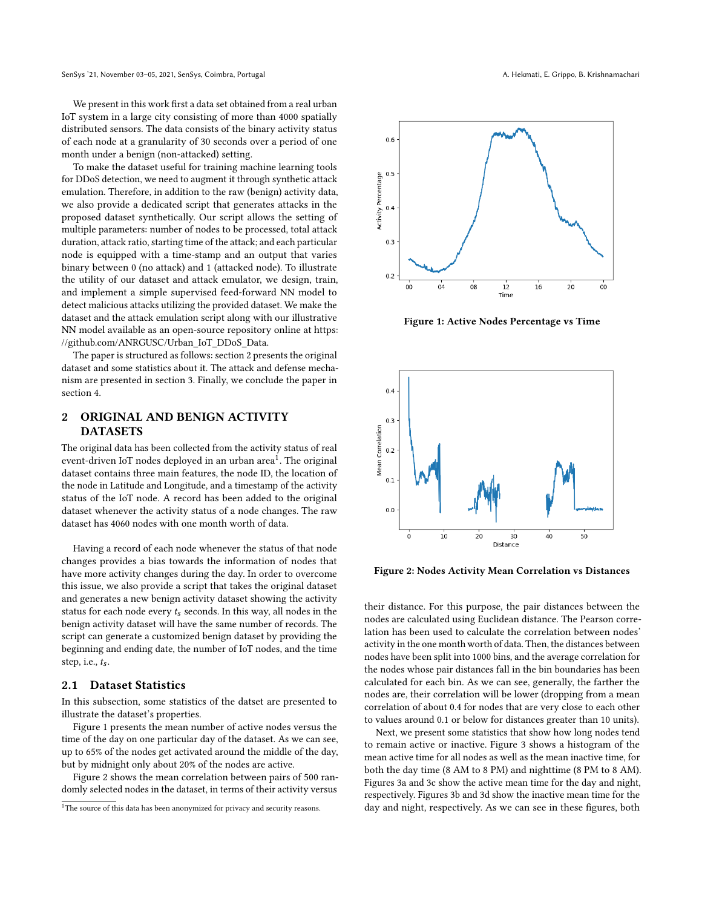SenSys '21, November 03-05, 2021, SenSys, Coimbra, Portugal A. Hekmati, E. Grippo, B. Krishnamachari

We present in this work first a data set obtained from a real urban IoT system in a large city consisting of more than 4000 spatially distributed sensors. The data consists of the binary activity status of each node at a granularity of 30 seconds over a period of one month under a benign (non-attacked) setting.

To make the dataset useful for training machine learning tools for DDoS detection, we need to augment it through synthetic attack emulation. Therefore, in addition to the raw (benign) activity data, we also provide a dedicated script that generates attacks in the proposed dataset synthetically. Our script allows the setting of multiple parameters: number of nodes to be processed, total attack duration, attack ratio, starting time of the attack; and each particular node is equipped with a time-stamp and an output that varies binary between 0 (no attack) and 1 (attacked node). To illustrate the utility of our dataset and attack emulator, we design, train, and implement a simple supervised feed-forward NN model to detect malicious attacks utilizing the provided dataset. We make the dataset and the attack emulation script along with our illustrative NN model available as an open-source repository online at [https:](https://github.com/ANRGUSC/Urban_IoT_DDoS_Data) [//github.com/ANRGUSC/Urban\\_IoT\\_DDoS\\_Data.](https://github.com/ANRGUSC/Urban_IoT_DDoS_Data)

The paper is structured as follows: section [2](#page-1-0) presents the original dataset and some statistics about it. The attack and defense mechanism are presented in section [3.](#page-2-0) Finally, we conclude the paper in section [4.](#page-3-3)

# <span id="page-1-0"></span>2 ORIGINAL AND BENIGN ACTIVITY DATASETS

The original data has been collected from the activity status of real event-driven IoT nodes deployed in an urban area $^{\dot{1}}.$  $^{\dot{1}}.$  $^{\dot{1}}.$  The original dataset contains three main features, the node ID, the location of the node in Latitude and Longitude, and a timestamp of the activity status of the IoT node. A record has been added to the original dataset whenever the activity status of a node changes. The raw dataset has 4060 nodes with one month worth of data.

Having a record of each node whenever the status of that node changes provides a bias towards the information of nodes that have more activity changes during the day. In order to overcome this issue, we also provide a script that takes the original dataset and generates a new benign activity dataset showing the activity status for each node every  $t_s$  seconds. In this way, all nodes in the benign activity dataset will have the same number of records. The script can generate a customized benign dataset by providing the beginning and ending date, the number of IoT nodes, and the time step, i.e.,  $t_s$ .

### 2.1 Dataset Statistics

In this subsection, some statistics of the datset are presented to illustrate the dataset's properties.

Figure [1](#page-1-2) presents the mean number of active nodes versus the time of the day on one particular day of the dataset. As we can see, up to 65% of the nodes get activated around the middle of the day, but by midnight only about 20% of the nodes are active.

Figure [2](#page-1-3) shows the mean correlation between pairs of 500 randomly selected nodes in the dataset, in terms of their activity versus

<span id="page-1-2"></span>

Figure 1: Active Nodes Percentage vs Time

<span id="page-1-3"></span>

Figure 2: Nodes Activity Mean Correlation vs Distances

their distance. For this purpose, the pair distances between the nodes are calculated using Euclidean distance. The Pearson correlation has been used to calculate the correlation between nodes' activity in the one month worth of data. Then, the distances between nodes have been split into 1000 bins, and the average correlation for the nodes whose pair distances fall in the bin boundaries has been calculated for each bin. As we can see, generally, the farther the nodes are, their correlation will be lower (dropping from a mean correlation of about 0.4 for nodes that are very close to each other to values around 0.1 or below for distances greater than 10 units).

Next, we present some statistics that show how long nodes tend to remain active or inactive. Figure [3](#page-2-1) shows a histogram of the mean active time for all nodes as well as the mean inactive time, for both the day time (8 AM to 8 PM) and nighttime (8 PM to 8 AM). Figures [3a](#page-2-1) and [3c](#page-2-1) show the active mean time for the day and night, respectively. Figures [3b](#page-2-1) and [3d](#page-2-1) show the inactive mean time for the day and night, respectively. As we can see in these figures, both

<span id="page-1-1"></span><sup>&</sup>lt;sup>1</sup>The source of this data has been anonymized for privacy and security reasons.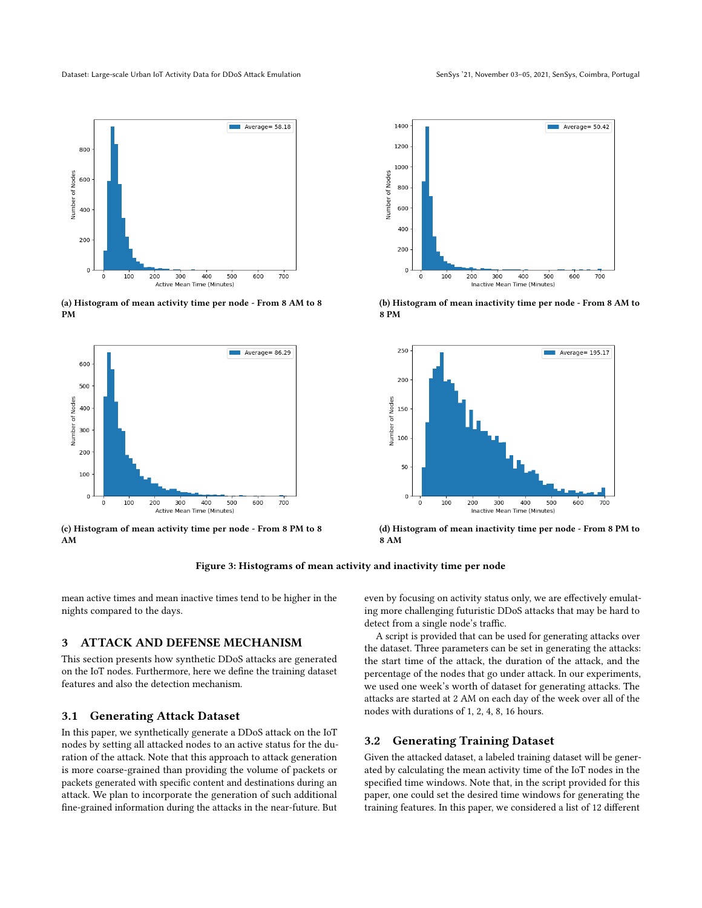<span id="page-2-1"></span>

(a) Histogram of mean activity time per node - From 8 AM to 8 PM



(c) Histogram of mean activity time per node - From 8 PM to 8 AM



(b) Histogram of mean inactivity time per node - From 8 AM to 8 PM



(d) Histogram of mean inactivity time per node - From 8 PM to 8 AM



mean active times and mean inactive times tend to be higher in the nights compared to the days.

## <span id="page-2-0"></span>3 ATTACK AND DEFENSE MECHANISM

This section presents how synthetic DDoS attacks are generated on the IoT nodes. Furthermore, here we define the training dataset features and also the detection mechanism.

### 3.1 Generating Attack Dataset

In this paper, we synthetically generate a DDoS attack on the IoT nodes by setting all attacked nodes to an active status for the duration of the attack. Note that this approach to attack generation is more coarse-grained than providing the volume of packets or packets generated with specific content and destinations during an attack. We plan to incorporate the generation of such additional fine-grained information during the attacks in the near-future. But

even by focusing on activity status only, we are effectively emulating more challenging futuristic DDoS attacks that may be hard to detect from a single node's traffic.

A script is provided that can be used for generating attacks over the dataset. Three parameters can be set in generating the attacks: the start time of the attack, the duration of the attack, and the percentage of the nodes that go under attack. In our experiments, we used one week's worth of dataset for generating attacks. The attacks are started at 2 AM on each day of the week over all of the nodes with durations of 1, 2, 4, 8, 16 hours.

### 3.2 Generating Training Dataset

Given the attacked dataset, a labeled training dataset will be generated by calculating the mean activity time of the IoT nodes in the specified time windows. Note that, in the script provided for this paper, one could set the desired time windows for generating the training features. In this paper, we considered a list of 12 different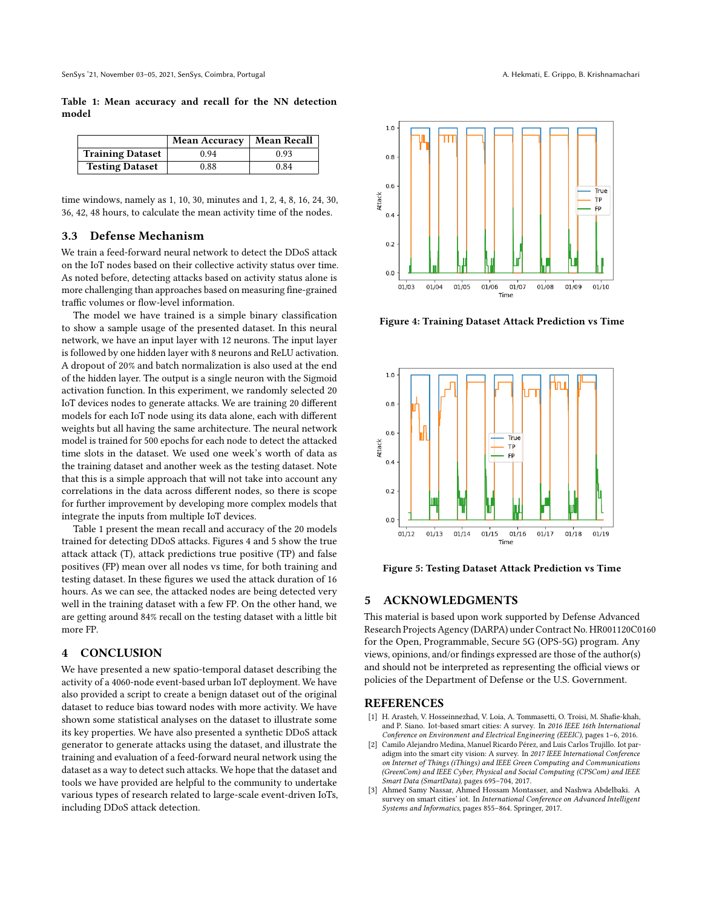<span id="page-3-4"></span>Table 1: Mean accuracy and recall for the NN detection model

|                         | <b>Mean Accuracy</b> | <b>Mean Recall</b> |
|-------------------------|----------------------|--------------------|
| <b>Training Dataset</b> | 0.94                 | 0.93               |
| <b>Testing Dataset</b>  | 0.88                 | 0.84               |

time windows, namely as 1, 10, 30, minutes and 1, 2, 4, 8, 16, 24, 30, 36, 42, 48 hours, to calculate the mean activity time of the nodes.

### 3.3 Defense Mechanism

We train a feed-forward neural network to detect the DDoS attack on the IoT nodes based on their collective activity status over time. As noted before, detecting attacks based on activity status alone is more challenging than approaches based on measuring fine-grained traffic volumes or flow-level information.

The model we have trained is a simple binary classification to show a sample usage of the presented dataset. In this neural network, we have an input layer with 12 neurons. The input layer is followed by one hidden layer with 8 neurons and ReLU activation. A dropout of 20% and batch normalization is also used at the end of the hidden layer. The output is a single neuron with the Sigmoid activation function. In this experiment, we randomly selected 20 IoT devices nodes to generate attacks. We are training 20 different models for each IoT node using its data alone, each with different weights but all having the same architecture. The neural network model is trained for 500 epochs for each node to detect the attacked time slots in the dataset. We used one week's worth of data as the training dataset and another week as the testing dataset. Note that this is a simple approach that will not take into account any correlations in the data across different nodes, so there is scope for further improvement by developing more complex models that integrate the inputs from multiple IoT devices.

Table [1](#page-3-4) present the mean recall and accuracy of the 20 models trained for detecting DDoS attacks. Figures [4](#page-3-5) and [5](#page-3-6) show the true attack attack (T), attack predictions true positive (TP) and false positives (FP) mean over all nodes vs time, for both training and testing dataset. In these figures we used the attack duration of 16 hours. As we can see, the attacked nodes are being detected very well in the training dataset with a few FP. On the other hand, we are getting around 84% recall on the testing dataset with a little bit more FP.

#### <span id="page-3-3"></span>4 CONCLUSION

We have presented a new spatio-temporal dataset describing the activity of a 4060-node event-based urban IoT deployment. We have also provided a script to create a benign dataset out of the original dataset to reduce bias toward nodes with more activity. We have shown some statistical analyses on the dataset to illustrate some its key properties. We have also presented a synthetic DDoS attack generator to generate attacks using the dataset, and illustrate the training and evaluation of a feed-forward neural network using the dataset as a way to detect such attacks. We hope that the dataset and tools we have provided are helpful to the community to undertake various types of research related to large-scale event-driven IoTs, including DDoS attack detection.

<span id="page-3-5"></span>

Figure 4: Training Dataset Attack Prediction vs Time

<span id="page-3-6"></span>

Figure 5: Testing Dataset Attack Prediction vs Time

### 5 ACKNOWLEDGMENTS

This material is based upon work supported by Defense Advanced Research Projects Agency (DARPA) under Contract No. HR001120C0160 for the Open, Programmable, Secure 5G (OPS-5G) program. Any views, opinions, and/or findings expressed are those of the author(s) and should not be interpreted as representing the official views or policies of the Department of Defense or the U.S. Government.

#### REFERENCES

- <span id="page-3-0"></span>[1] H. Arasteh, V. Hosseinnezhad, V. Loia, A. Tommasetti, O. Troisi, M. Shafie-khah, and P. Siano. Iot-based smart cities: A survey. In 2016 IEEE 16th International Conference on Environment and Electrical Engineering (EEEIC), pages 1–6, 2016.
- <span id="page-3-1"></span>[2] Camilo Alejandro Medina, Manuel Ricardo Pérez, and Luis Carlos Trujillo. Iot paradigm into the smart city vision: A survey. In 2017 IEEE International Conference on Internet of Things (iThings) and IEEE Green Computing and Communications (GreenCom) and IEEE Cyber, Physical and Social Computing (CPSCom) and IEEE Smart Data (SmartData), pages 695–704, 2017.
- <span id="page-3-2"></span>[3] Ahmed Samy Nassar, Ahmed Hossam Montasser, and Nashwa Abdelbaki. A survey on smart cities' iot. In International Conference on Advanced Intelligent Systems and Informatics, pages 855–864. Springer, 2017.